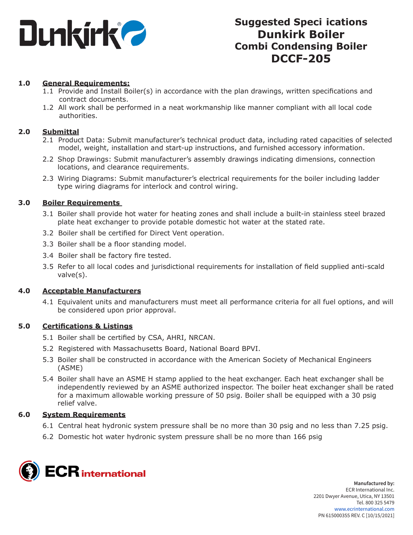

### **1.0 General Requirements:**

- 1.1 Provide and Install Boiler(s) in accordance with the plan drawings, written specifications and contract documents.
- 1.2 All work shall be performed in a neat workmanship like manner compliant with all local code authorities.

### **2.0 Submittal**

- 2.1 Product Data: Submit manufacturer's technical product data, including rated capacities of selected model, weight, installation and start-up instructions, and furnished accessory information.
- 2.2 Shop Drawings: Submit manufacturer's assembly drawings indicating dimensions, connection locations, and clearance requirements.
- 2.3 Wiring Diagrams: Submit manufacturer's electrical requirements for the boiler including ladder type wiring diagrams for interlock and control wiring.

### **3.0 Boiler Requirements**

- 3.1 Boiler shall provide hot water for heating zones and shall include a built-in stainless steel brazed plate heat exchanger to provide potable domestic hot water at the stated rate.
- 3.2 Boiler shall be certified for Direct Vent operation.
- 3.3 Boiler shall be a floor standing model.
- 3.4 Boiler shall be factory fire tested.
- 3.5 Refer to all local codes and jurisdictional requirements for installation of field supplied anti-scald valve(s).

#### **4.0 Acceptable Manufacturers**

4.1 Equivalent units and manufacturers must meet all performance criteria for all fuel options, and will be considered upon prior approval.

#### **5.0 Certifications & Listings**

- 5.1 Boiler shall be certified by CSA, AHRI, NRCAN.
- 5.2 Registered with Massachusetts Board, National Board BPVI.
- 5.3 Boiler shall be constructed in accordance with the American Society of Mechanical Engineers (ASME)
- 5.4 Boiler shall have an ASME H stamp applied to the heat exchanger. Each heat exchanger shall be independently reviewed by an ASME authorized inspector. The boiler heat exchanger shall be rated for a maximum allowable working pressure of 50 psig. Boiler shall be equipped with a 30 psig relief valve.

### **6.0 System Requirements**

- 6.1 Central heat hydronic system pressure shall be no more than 30 psig and no less than 7.25 psig.
- 6.2 Domestic hot water hydronic system pressure shall be no more than 166 psig

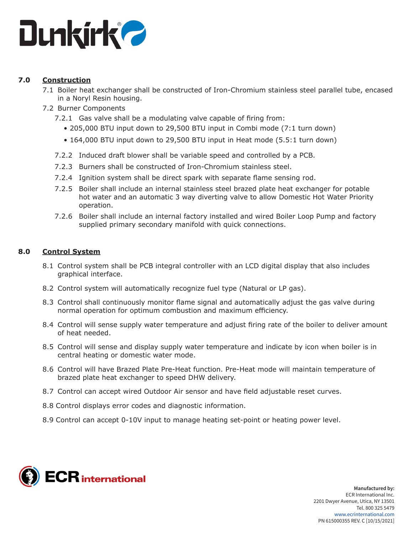

## **7.0 Construction**

- 7.1 Boiler heat exchanger shall be constructed of Iron-Chromium stainless steel parallel tube, encased in a Noryl Resin housing.
- 7.2 Burner Components
	- 7.2.1 Gas valve shall be a modulating valve capable of firing from:
		- 205,000 BTU input down to 29,500 BTU input in Combi mode (7:1 turn down)
		- 164,000 BTU input down to 29,500 BTU input in Heat mode (5.5:1 turn down)
	- 7.2.2 Induced draft blower shall be variable speed and controlled by a PCB.
	- 7.2.3 Burners shall be constructed of Iron-Chromium stainless steel.
	- 7.2.4 Ignition system shall be direct spark with separate flame sensing rod.
	- 7.2.5 Boiler shall include an internal stainless steel brazed plate heat exchanger for potable hot water and an automatic 3 way diverting valve to allow Domestic Hot Water Priority operation.
	- 7.2.6 Boiler shall include an internal factory installed and wired Boiler Loop Pump and factory supplied primary secondary manifold with quick connections.

## **8.0 Control System**

- 8.1 Control system shall be PCB integral controller with an LCD digital display that also includes graphical interface.
- 8.2 Control system will automatically recognize fuel type (Natural or LP gas).
- 8.3 Control shall continuously monitor flame signal and automatically adjust the gas valve during normal operation for optimum combustion and maximum efficiency.
- 8.4 Control will sense supply water temperature and adjust firing rate of the boiler to deliver amount of heat needed.
- 8.5 Control will sense and display supply water temperature and indicate by icon when boiler is in central heating or domestic water mode.
- 8.6 Control will have Brazed Plate Pre-Heat function. Pre-Heat mode will maintain temperature of brazed plate heat exchanger to speed DHW delivery.
- 8.7 Control can accept wired Outdoor Air sensor and have field adjustable reset curves.
- 8.8 Control displays error codes and diagnostic information.
- 8.9 Control can accept 0-10V input to manage heating set-point or heating power level.